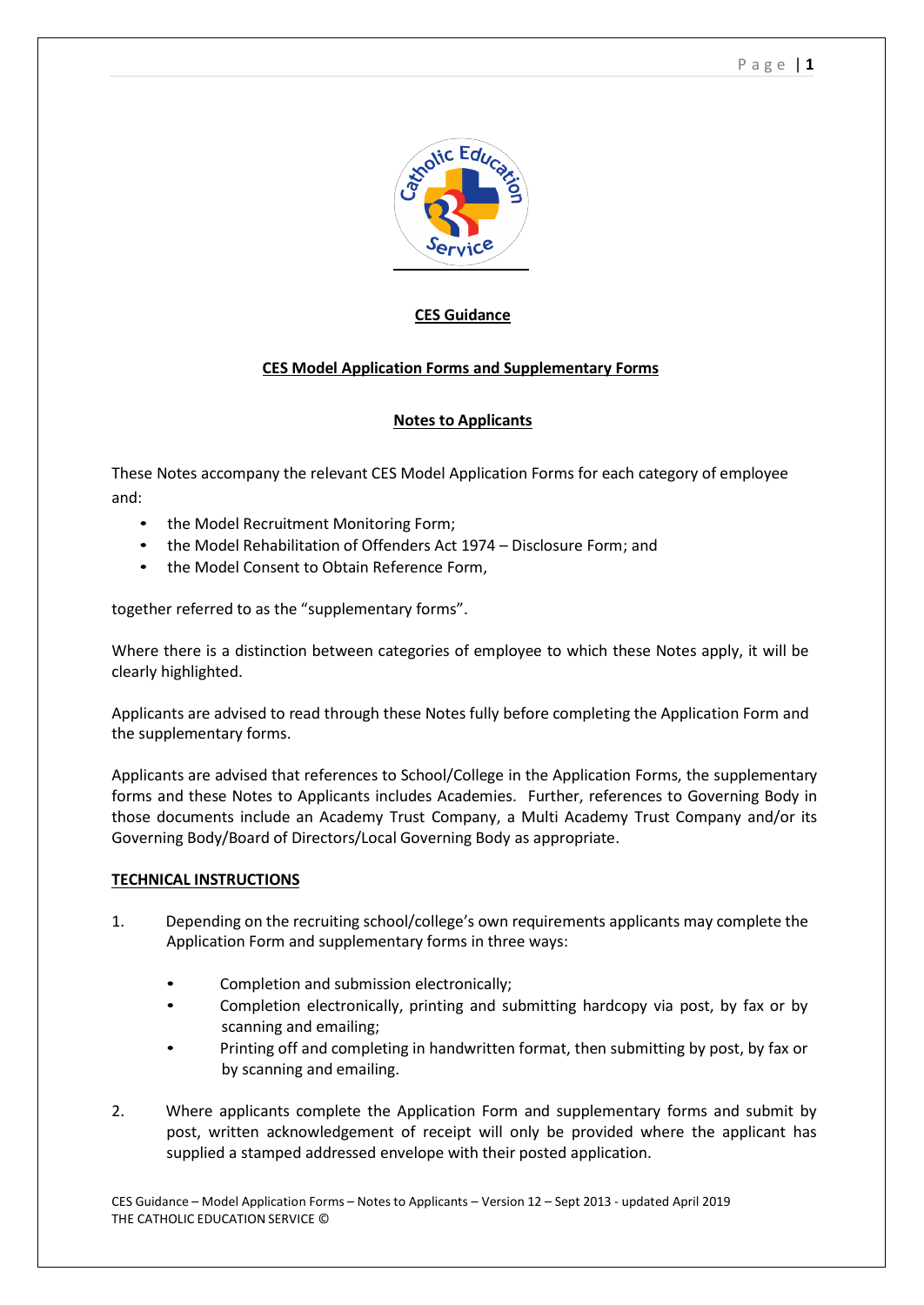

# **CES Guidance**

# **CES Model Application Forms and Supplementary Forms**

## **Notes to Applicants**

These Notes accompany the relevant CES Model Application Forms for each category of employee and:

- the Model Recruitment Monitoring Form;
- the Model Rehabilitation of Offenders Act 1974 Disclosure Form; and
- the Model Consent to Obtain Reference Form,

together referred to as the "supplementary forms".

Where there is a distinction between categories of employee to which these Notes apply, it will be clearly highlighted.

Applicants are advised to read through these Notes fully before completing the Application Form and the supplementary forms.

Applicants are advised that references to School/College in the Application Forms, the supplementary forms and these Notes to Applicants includes Academies. Further, references to Governing Body in those documents include an Academy Trust Company, a Multi Academy Trust Company and/or its Governing Body/Board of Directors/Local Governing Body as appropriate.

## **TECHNICAL INSTRUCTIONS**

- 1. Depending on the recruiting school/college's own requirements applicants may complete the Application Form and supplementary forms in three ways:
	- Completion and submission electronically;
	- Completion electronically, printing and submitting hardcopy via post, by fax or by scanning and emailing;
	- Printing off and completing in handwritten format, then submitting by post, by fax or by scanning and emailing.
- 2. Where applicants complete the Application Form and supplementary forms and submit by post, written acknowledgement of receipt will only be provided where the applicant has supplied a stamped addressed envelope with their posted application.

CES Guidance – Model Application Forms – Notes to Applicants – Version 12 – Sept 2013 - updated April 2019 THE CATHOLIC EDUCATION SERVICE ©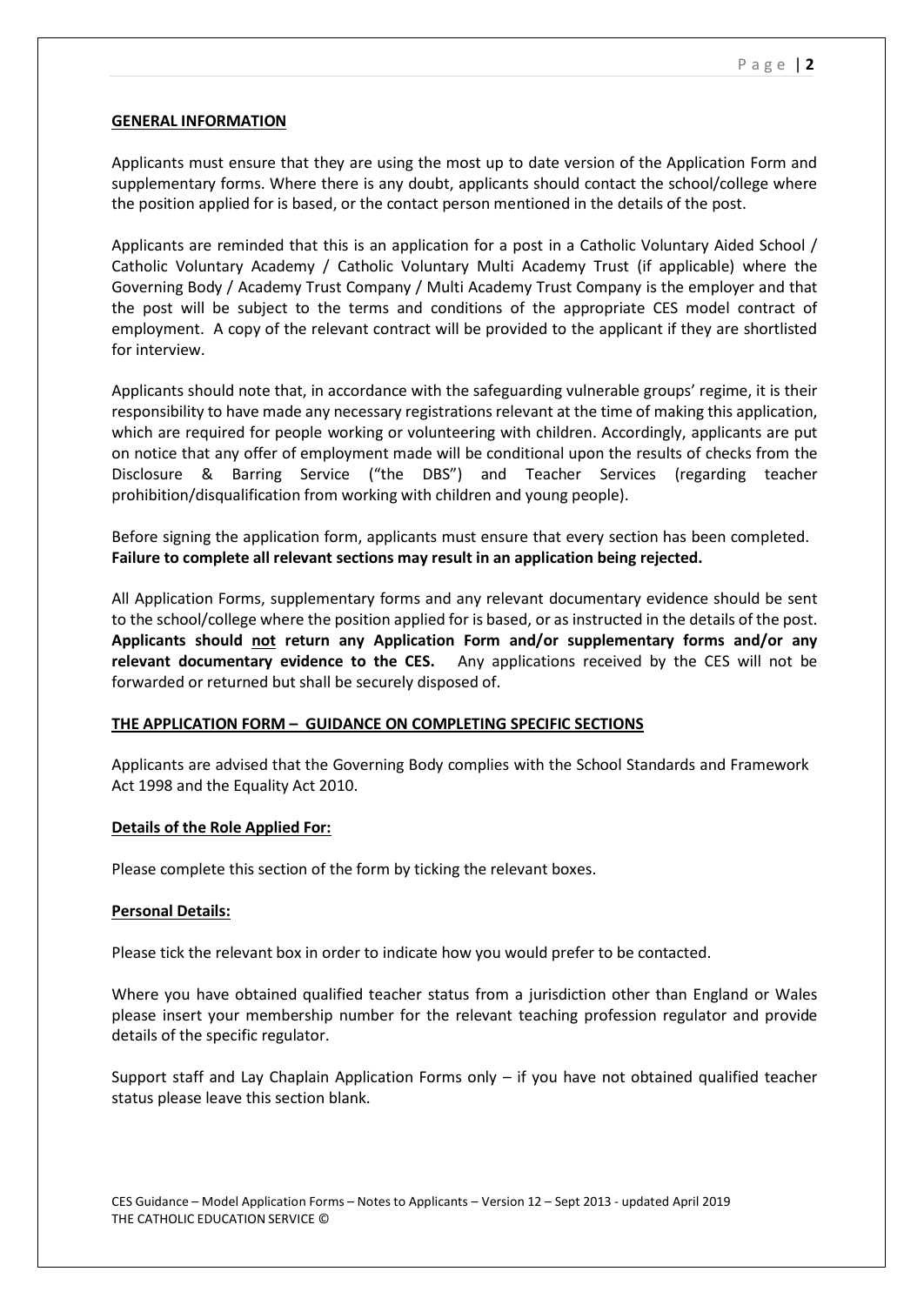#### **GENERAL INFORMATION**

Applicants must ensure that they are using the most up to date version of the Application Form and supplementary forms. Where there is any doubt, applicants should contact the school/college where the position applied for is based, or the contact person mentioned in the details of the post.

Applicants are reminded that this is an application for a post in a Catholic Voluntary Aided School / Catholic Voluntary Academy / Catholic Voluntary Multi Academy Trust (if applicable) where the Governing Body / Academy Trust Company / Multi Academy Trust Company is the employer and that the post will be subject to the terms and conditions of the appropriate CES model contract of employment. A copy of the relevant contract will be provided to the applicant if they are shortlisted for interview.

Applicants should note that, in accordance with the safeguarding vulnerable groups' regime, it is their responsibility to have made any necessary registrations relevant at the time of making this application, which are required for people working or volunteering with children. Accordingly, applicants are put on notice that any offer of employment made will be conditional upon the results of checks from the Disclosure & Barring Service ("the DBS") and Teacher Services (regarding teacher prohibition/disqualification from working with children and young people).

Before signing the application form, applicants must ensure that every section has been completed. **Failure to complete all relevant sections may result in an application being rejected.**

All Application Forms, supplementary forms and any relevant documentary evidence should be sent to the school/college where the position applied for is based, or as instructed in the details of the post. **Applicants should not return any Application Form and/or supplementary forms and/or any relevant documentary evidence to the CES.** Any applications received by the CES will not be forwarded or returned but shall be securely disposed of.

## **THE APPLICATION FORM – GUIDANCE ON COMPLETING SPECIFIC SECTIONS**

Applicants are advised that the Governing Body complies with the School Standards and Framework Act 1998 and the Equality Act 2010.

#### **Details of the Role Applied For:**

Please complete this section of the form by ticking the relevant boxes.

#### **Personal Details:**

Please tick the relevant box in order to indicate how you would prefer to be contacted.

Where you have obtained qualified teacher status from a jurisdiction other than England or Wales please insert your membership number for the relevant teaching profession regulator and provide details of the specific regulator.

Support staff and Lay Chaplain Application Forms only – if you have not obtained qualified teacher status please leave this section blank.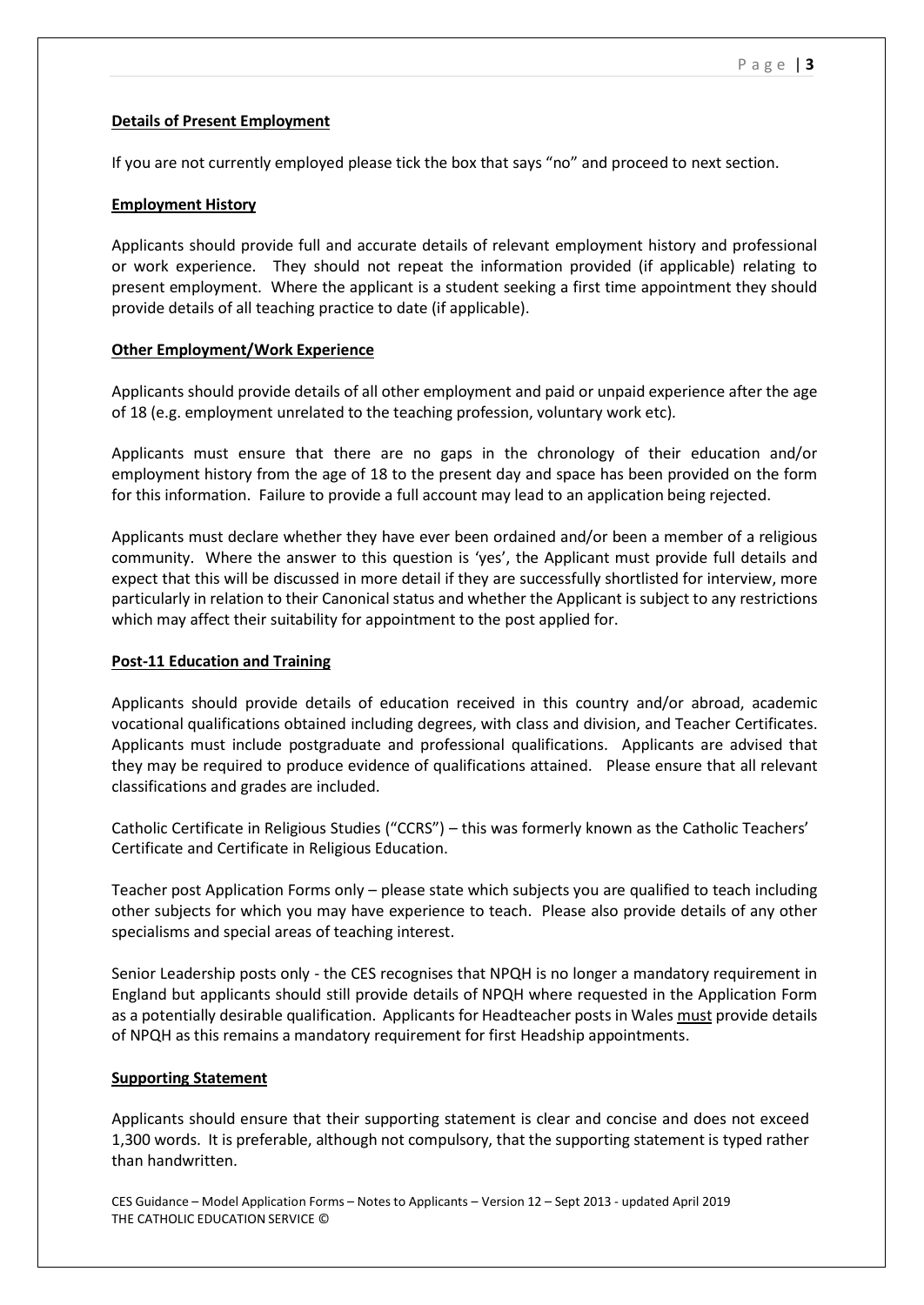# **Details of Present Employment**

If you are not currently employed please tick the box that says "no" and proceed to next section.

## **Employment History**

Applicants should provide full and accurate details of relevant employment history and professional or work experience. They should not repeat the information provided (if applicable) relating to present employment. Where the applicant is a student seeking a first time appointment they should provide details of all teaching practice to date (if applicable).

# **Other Employment/Work Experience**

Applicants should provide details of all other employment and paid or unpaid experience after the age of 18 (e.g. employment unrelated to the teaching profession, voluntary work etc).

Applicants must ensure that there are no gaps in the chronology of their education and/or employment history from the age of 18 to the present day and space has been provided on the form for this information. Failure to provide a full account may lead to an application being rejected.

Applicants must declare whether they have ever been ordained and/or been a member of a religious community. Where the answer to this question is 'yes', the Applicant must provide full details and expect that this will be discussed in more detail if they are successfully shortlisted for interview, more particularly in relation to their Canonical status and whether the Applicant is subject to any restrictions which may affect their suitability for appointment to the post applied for.

## **Post-11 Education and Training**

Applicants should provide details of education received in this country and/or abroad, academic vocational qualifications obtained including degrees, with class and division, and Teacher Certificates. Applicants must include postgraduate and professional qualifications. Applicants are advised that they may be required to produce evidence of qualifications attained. Please ensure that all relevant classifications and grades are included.

Catholic Certificate in Religious Studies ("CCRS") – this was formerly known as the Catholic Teachers' Certificate and Certificate in Religious Education.

Teacher post Application Forms only – please state which subjects you are qualified to teach including other subjects for which you may have experience to teach. Please also provide details of any other specialisms and special areas of teaching interest.

Senior Leadership posts only - the CES recognises that NPQH is no longer a mandatory requirement in England but applicants should still provide details of NPQH where requested in the Application Form as a potentially desirable qualification. Applicants for Headteacher posts in Wales must provide details of NPQH as this remains a mandatory requirement for first Headship appointments.

## **Supporting Statement**

Applicants should ensure that their supporting statement is clear and concise and does not exceed 1,300 words. It is preferable, although not compulsory, that the supporting statement is typed rather than handwritten.

CES Guidance – Model Application Forms – Notes to Applicants – Version 12 – Sept 2013 - updated April 2019 THE CATHOLIC EDUCATION SERVICE ©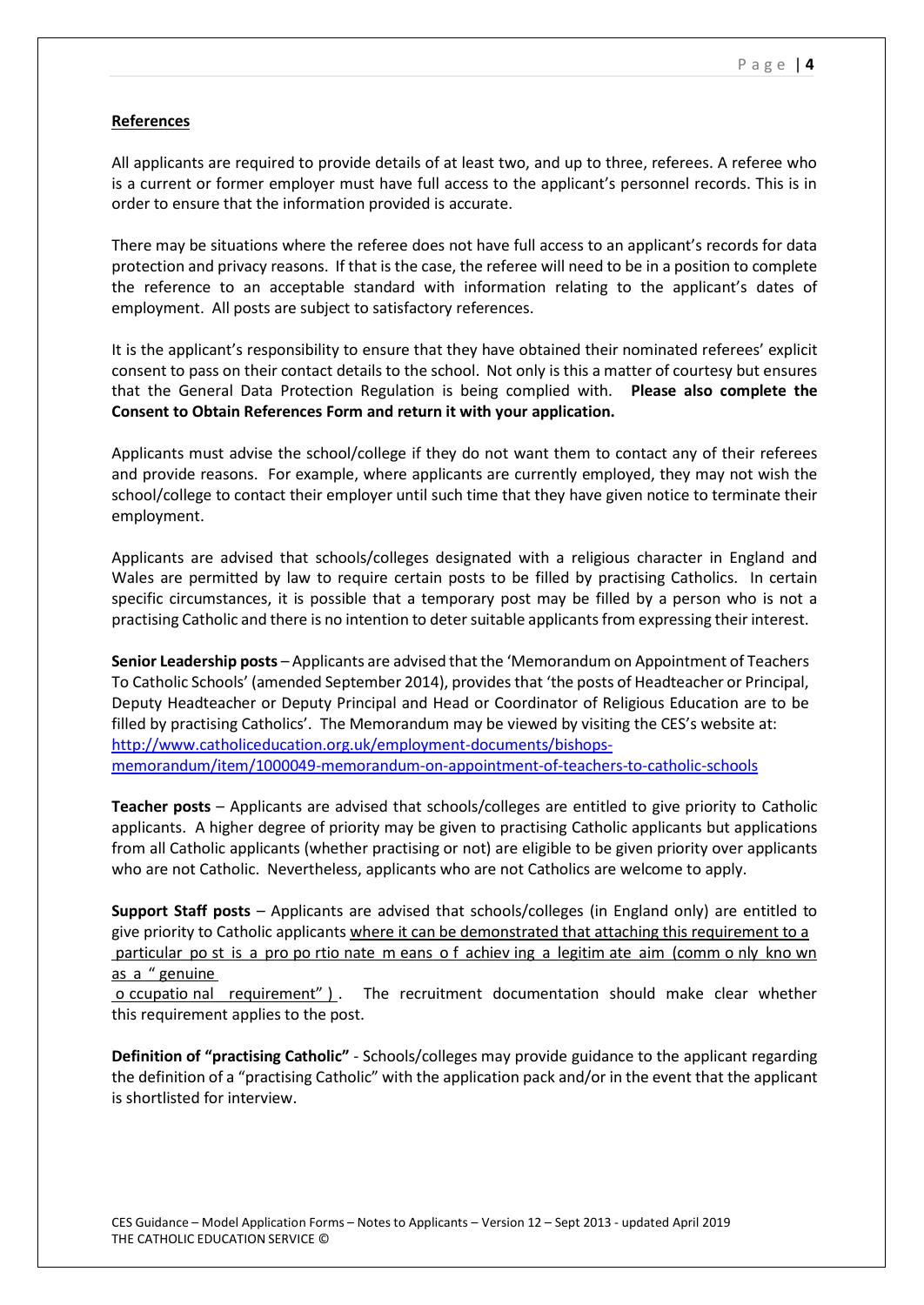## **References**

All applicants are required to provide details of at least two, and up to three, referees. A referee who is a current or former employer must have full access to the applicant's personnel records. This is in order to ensure that the information provided is accurate.

There may be situations where the referee does not have full access to an applicant's records for data protection and privacy reasons. If that is the case, the referee will need to be in a position to complete the reference to an acceptable standard with information relating to the applicant's dates of employment. All posts are subject to satisfactory references.

It is the applicant's responsibility to ensure that they have obtained their nominated referees' explicit consent to pass on their contact details to the school. Not only is this a matter of courtesy but ensures that the General Data Protection Regulation is being complied with. **Please also complete the Consent to Obtain References Form and return it with your application.**

Applicants must advise the school/college if they do not want them to contact any of their referees and provide reasons. For example, where applicants are currently employed, they may not wish the school/college to contact their employer until such time that they have given notice to terminate their employment.

Applicants are advised that schools/colleges designated with a religious character in England and Wales are permitted by law to require certain posts to be filled by practising Catholics. In certain specific circumstances, it is possible that a temporary post may be filled by a person who is not a practising Catholic and there is no intention to deter suitable applicants from expressing their interest.

**Senior Leadership posts** – Applicants are advised thatthe 'Memorandum on Appointment of Teachers To Catholic Schools' (amended September 2014), provides that 'the posts of Headteacher or Principal, Deputy Headteacher or Deputy Principal and Head or Coordinator of Religious Education are to be filled by practising Catholics'. The Memorandum may be viewed by visiting the CES's website at: [http://www.catholiceducation.org.uk/employment-documents/bishops](http://www.catholiceducation.org.uk/employment-documents/bishops-memorandum/item/1000049-memorandum-on-appointment-of-teachers-to-catholic-schools)[memorandum/item/1000049-memorandum-on-appointment-of-teachers-to-catholic-schools](http://www.catholiceducation.org.uk/employment-documents/bishops-memorandum/item/1000049-memorandum-on-appointment-of-teachers-to-catholic-schools)

**Teacher posts** – Applicants are advised that schools/colleges are entitled to give priority to Catholic applicants. A higher degree of priority may be given to practising Catholic applicants but applications from all Catholic applicants (whether practising or not) are eligible to be given priority over applicants who are not Catholic. Nevertheless, applicants who are not Catholics are welcome to apply.

**Support Staff posts** – Applicants are advised that schools/colleges (in England only) are entitled to give priority to Catholic applicants where it can be demonstrated that attaching this requirement to a particular po st is a pro po rtio nate m eans o f achiev ing a legitim ate aim (comm o nly kno wn as a " genuine

o ccupatio nal requirement" ) . The recruitment documentation should make clear whether this requirement applies to the post.

**Definition of "practising Catholic"** - Schools/colleges may provide guidance to the applicant regarding the definition of a "practising Catholic" with the application pack and/or in the event that the applicant is shortlisted for interview.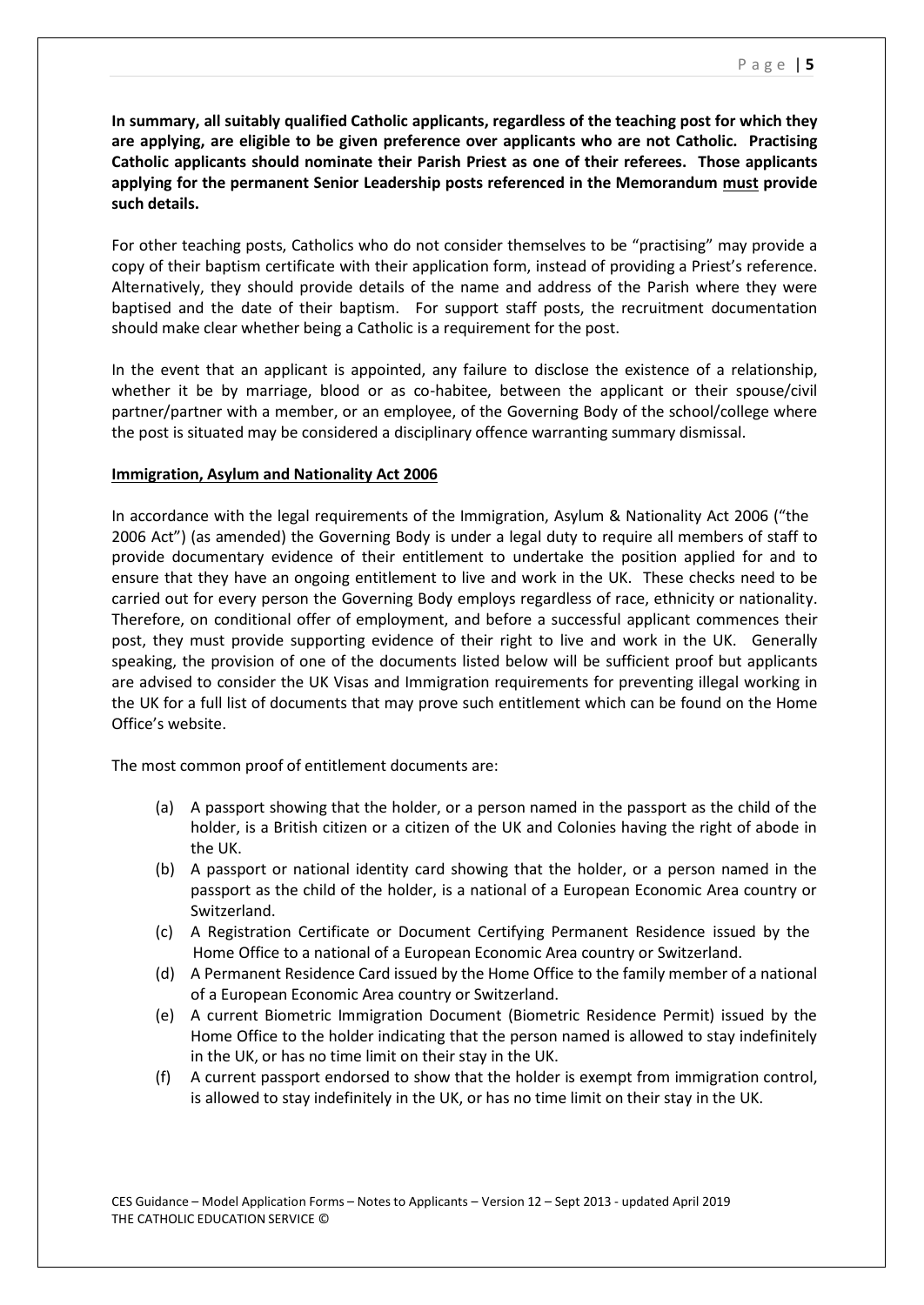**In summary, all suitably qualified Catholic applicants, regardless of the teaching post for which they are applying, are eligible to be given preference over applicants who are not Catholic. Practising Catholic applicants should nominate their Parish Priest as one of their referees. Those applicants applying for the permanent Senior Leadership posts referenced in the Memorandum must provide such details.**

For other teaching posts, Catholics who do not consider themselves to be "practising" may provide a copy of their baptism certificate with their application form, instead of providing a Priest's reference. Alternatively, they should provide details of the name and address of the Parish where they were baptised and the date of their baptism. For support staff posts, the recruitment documentation should make clear whether being a Catholic is a requirement for the post.

In the event that an applicant is appointed, any failure to disclose the existence of a relationship, whether it be by marriage, blood or as co-habitee, between the applicant or their spouse/civil partner/partner with a member, or an employee, of the Governing Body of the school/college where the post is situated may be considered a disciplinary offence warranting summary dismissal.

#### **Immigration, Asylum and Nationality Act 2006**

In accordance with the legal requirements of the Immigration, Asylum & Nationality Act 2006 ("the 2006 Act") (as amended) the Governing Body is under a legal duty to require all members of staff to provide documentary evidence of their entitlement to undertake the position applied for and to ensure that they have an ongoing entitlement to live and work in the UK. These checks need to be carried out for every person the Governing Body employs regardless of race, ethnicity or nationality. Therefore, on conditional offer of employment, and before a successful applicant commences their post, they must provide supporting evidence of their right to live and work in the UK. Generally speaking, the provision of one of the documents listed below will be sufficient proof but applicants are advised to consider the UK Visas and Immigration requirements for preventing illegal working in the UK for a full list of documents that may prove such entitlement which can be found on the Home Office's website.

The most common proof of entitlement documents are:

- (a) A passport showing that the holder, or a person named in the passport as the child of the holder, is a British citizen or a citizen of the UK and Colonies having the right of abode in the UK.
- (b) A passport or national identity card showing that the holder, or a person named in the passport as the child of the holder, is a national of a European Economic Area country or Switzerland.
- (c) A Registration Certificate or Document Certifying Permanent Residence issued by the Home Office to a national of a European Economic Area country or Switzerland.
- (d) A Permanent Residence Card issued by the Home Office to the family member of a national of a European Economic Area country or Switzerland.
- (e) A current Biometric Immigration Document (Biometric Residence Permit) issued by the Home Office to the holder indicating that the person named is allowed to stay indefinitely in the UK, or has no time limit on their stay in the UK.
- (f) A current passport endorsed to show that the holder is exempt from immigration control, is allowed to stay indefinitely in the UK, or has no time limit on their stay in the UK.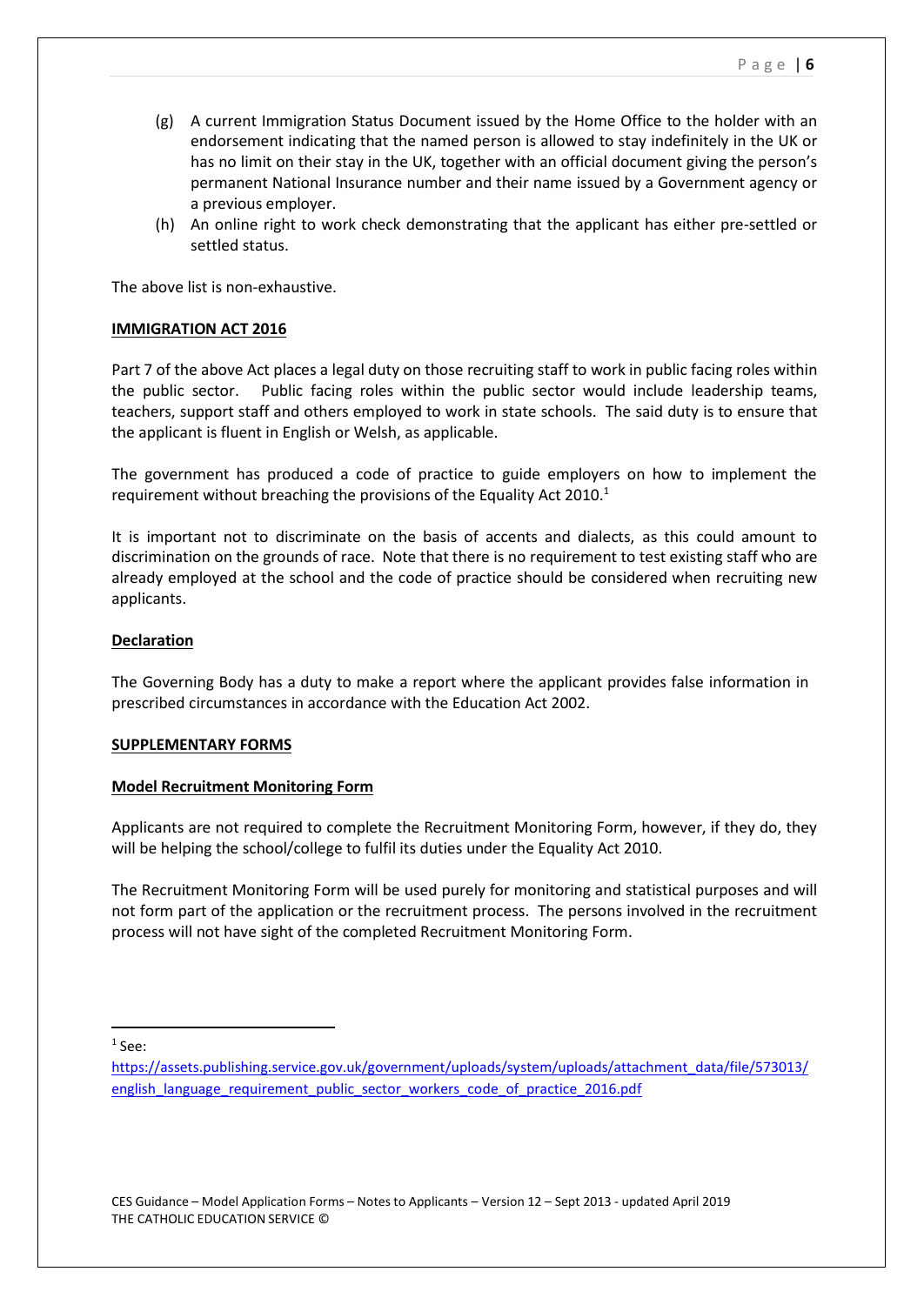P a g e | **6**

- (g) A current Immigration Status Document issued by the Home Office to the holder with an endorsement indicating that the named person is allowed to stay indefinitely in the UK or has no limit on their stay in the UK, together with an official document giving the person's permanent National Insurance number and their name issued by a Government agency or a previous employer.
- (h) An online right to work check demonstrating that the applicant has either pre-settled or settled status.

The above list is non-exhaustive.

## **IMMIGRATION ACT 2016**

Part 7 of the above Act places a legal duty on those recruiting staff to work in public facing roles within the public sector. Public facing roles within the public sector would include leadership teams, teachers, support staff and others employed to work in state schools. The said duty is to ensure that the applicant is fluent in English or Welsh, as applicable.

The government has produced a code of practice to guide employers on how to implement the requirement without breaching the provisions of the Equality Act 2010. $1$ 

It is important not to discriminate on the basis of accents and dialects, as this could amount to discrimination on the grounds of race. Note that there is no requirement to test existing staff who are already employed at the school and the code of practice should be considered when recruiting new applicants.

# **Declaration**

The Governing Body has a duty to make a report where the applicant provides false information in prescribed circumstances in accordance with the Education Act 2002.

## **SUPPLEMENTARY FORMS**

## **Model Recruitment Monitoring Form**

Applicants are not required to complete the Recruitment Monitoring Form, however, if they do, they will be helping the school/college to fulfil its duties under the Equality Act 2010.

The Recruitment Monitoring Form will be used purely for monitoring and statistical purposes and will not form part of the application or the recruitment process. The persons involved in the recruitment process will not have sight of the completed Recruitment Monitoring Form.

 $1$  See:

[https://assets.publishing.service.gov.uk/government/uploads/system/uploads/attachment\\_data/file/573013/](https://assets.publishing.service.gov.uk/government/uploads/system/uploads/attachment_data/file/573013/english_language_requirement_public_sector_workers_code_of_practice_2016.pdf) [english\\_language\\_requirement\\_public\\_sector\\_workers\\_code\\_of\\_practice\\_2016.pdf](https://assets.publishing.service.gov.uk/government/uploads/system/uploads/attachment_data/file/573013/english_language_requirement_public_sector_workers_code_of_practice_2016.pdf)